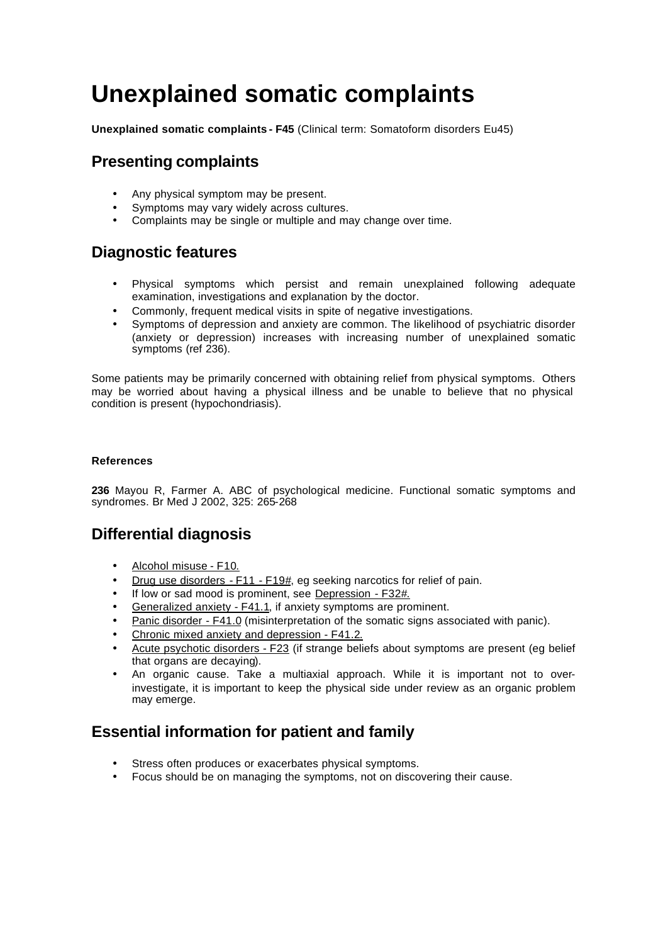# **Unexplained somatic complaints**

**Unexplained somatic complaints - F45** (Clinical term: Somatoform disorders Eu45)

# **Presenting complaints**

- Any physical symptom may be present.
- Symptoms may vary widely across cultures.
- Complaints may be single or multiple and may change over time.

## **Diagnostic features**

- Physical symptoms which persist and remain unexplained following adequate examination, investigations and explanation by the doctor.
- Commonly, frequent medical visits in spite of negative investigations.
- Symptoms of depression and anxiety are common. The likelihood of psychiatric disorder (anxiety or depression) increases with increasing number of unexplained somatic symptoms (ref 236).

Some patients may be primarily concerned with obtaining relief from physical symptoms. Others may be worried about having a physical illness and be unable to believe that no physical condition is present (hypochondriasis).

#### **References**

**236** Mayou R, Farmer A. ABC of psychological medicine. Functional somatic symptoms and syndromes. Br Med J 2002, 325: 265-268

## **Differential diagnosis**

- Alcohol misuse F10.
- Drug use disorders F11 F19#, eg seeking narcotics for relief of pain.
- If low or sad mood is prominent, see Depression F32#.
- Generalized anxiety F41.1, if anxiety symptoms are prominent.
- Panic disorder F41.0 (misinterpretation of the somatic signs associated with panic).
- Chronic mixed anxiety and depression F41.2.
- Acute psychotic disorders F23 (if strange beliefs about symptoms are present (eg belief that organs are decaying).
- An organic cause. Take a multiaxial approach. While it is important not to overinvestigate, it is important to keep the physical side under review as an organic problem may emerge.

# **Essential information for patient and family**

- Stress often produces or exacerbates physical symptoms.
- Focus should be on managing the symptoms, not on discovering their cause.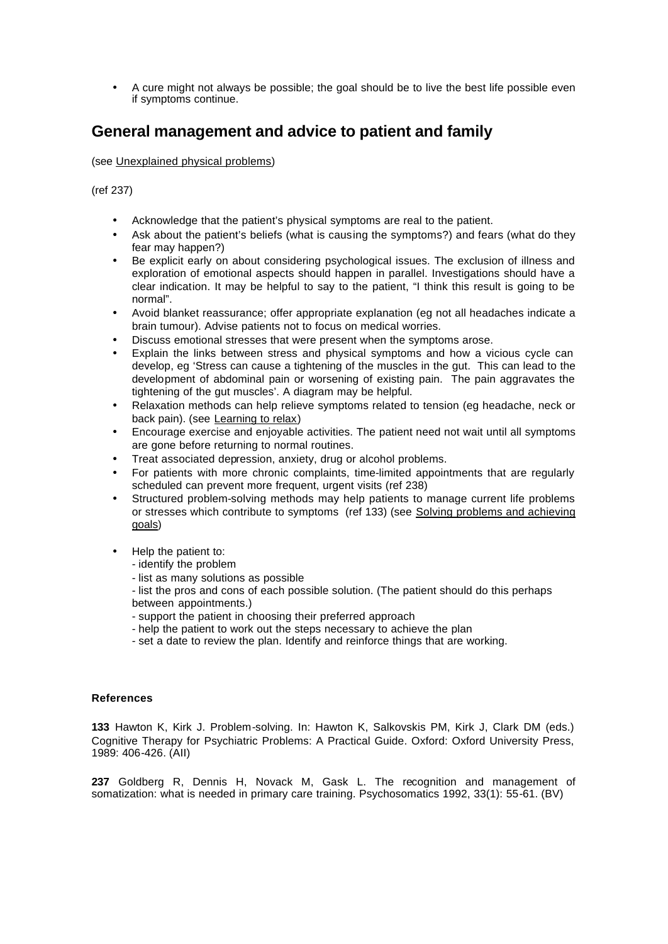• A cure might not always be possible; the goal should be to live the best life possible even if symptoms continue.

## **General management and advice to patient and family**

#### (see Unexplained physical problems)

(ref 237)

- Acknowledge that the patient's physical symptoms are real to the patient.
- Ask about the patient's beliefs (what is causing the symptoms?) and fears (what do they fear may happen?)
- Be explicit early on about considering psychological issues. The exclusion of illness and exploration of emotional aspects should happen in parallel. Investigations should have a clear indication. It may be helpful to say to the patient, "I think this result is going to be normal".
- Avoid blanket reassurance; offer appropriate explanation (eg not all headaches indicate a brain tumour). Advise patients not to focus on medical worries.
- Discuss emotional stresses that were present when the symptoms arose.
- Explain the links between stress and physical symptoms and how a vicious cycle can develop, eg 'Stress can cause a tightening of the muscles in the gut. This can lead to the development of abdominal pain or worsening of existing pain. The pain aggravates the tightening of the gut muscles'. A diagram may be helpful.
- Relaxation methods can help relieve symptoms related to tension (eg headache, neck or back pain). (see Learning to relax)
- Encourage exercise and enjoyable activities. The patient need not wait until all symptoms are gone before returning to normal routines.
- Treat associated depression, anxiety, drug or alcohol problems.
- For patients with more chronic complaints, time-limited appointments that are regularly scheduled can prevent more frequent, urgent visits (ref 238)
- Structured problem-solving methods may help patients to manage current life problems or stresses which contribute to symptoms (ref 133) (see Solving problems and achieving goals)
- Help the patient to:
	- identify the problem
	- list as many solutions as possible
	- list the pros and cons of each possible solution. (The patient should do this perhaps between appointments.)
	- support the patient in choosing their preferred approach
	- help the patient to work out the steps necessary to achieve the plan
	- set a date to review the plan. Identify and reinforce things that are working.

#### **References**

**133** Hawton K, Kirk J. Problem-solving. In: Hawton K, Salkovskis PM, Kirk J, Clark DM (eds.) Cognitive Therapy for Psychiatric Problems: A Practical Guide. Oxford: Oxford University Press, 1989: 406-426. (AII)

**237** Goldberg R, Dennis H, Novack M, Gask L. The recognition and management of somatization: what is needed in primary care training. Psychosomatics 1992, 33(1): 55-61. (BV)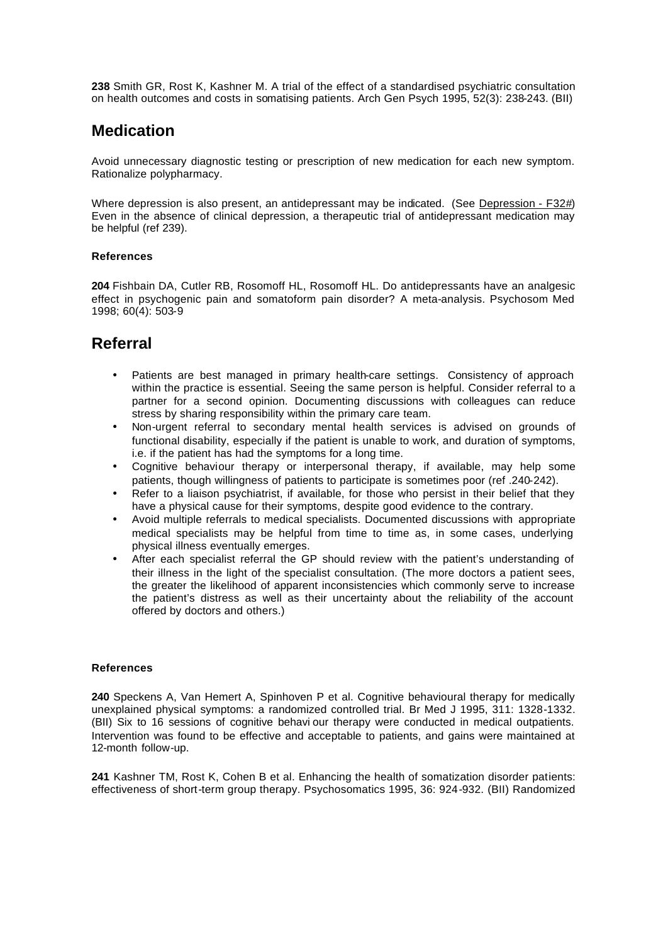**238** Smith GR, Rost K, Kashner M. A trial of the effect of a standardised psychiatric consultation on health outcomes and costs in somatising patients. Arch Gen Psych 1995, 52(3): 238-243. (BII)

### **Medication**

Avoid unnecessary diagnostic testing or prescription of new medication for each new symptom. Rationalize polypharmacy.

Where depression is also present, an antidepressant may be indicated. (See Depression - F32#) Even in the absence of clinical depression, a therapeutic trial of antidepressant medication may be helpful (ref 239).

#### **References**

**204** Fishbain DA, Cutler RB, Rosomoff HL, Rosomoff HL. Do antidepressants have an analgesic effect in psychogenic pain and somatoform pain disorder? A meta-analysis. Psychosom Med 1998; 60(4): 503-9

### **Referral**

- Patients are best managed in primary health-care settings. Consistency of approach within the practice is essential. Seeing the same person is helpful. Consider referral to a partner for a second opinion. Documenting discussions with colleagues can reduce stress by sharing responsibility within the primary care team.
- Non-urgent referral to secondary mental health services is advised on grounds of functional disability, especially if the patient is unable to work, and duration of symptoms, i.e. if the patient has had the symptoms for a long time.
- Cognitive behaviour therapy or interpersonal therapy, if available, may help some patients, though willingness of patients to participate is sometimes poor (ref .240-242).
- Refer to a liaison psychiatrist, if available, for those who persist in their belief that they have a physical cause for their symptoms, despite good evidence to the contrary.
- Avoid multiple referrals to medical specialists. Documented discussions with appropriate medical specialists may be helpful from time to time as, in some cases, underlying physical illness eventually emerges.
- After each specialist referral the GP should review with the patient's understanding of their illness in the light of the specialist consultation. (The more doctors a patient sees, the greater the likelihood of apparent inconsistencies which commonly serve to increase the patient's distress as well as their uncertainty about the reliability of the account offered by doctors and others.)

#### **References**

**240** Speckens A, Van Hemert A, Spinhoven P et al. Cognitive behavioural therapy for medically unexplained physical symptoms: a randomized controlled trial. Br Med J 1995, 311: 1328-1332. (BII) Six to 16 sessions of cognitive behavi our therapy were conducted in medical outpatients. Intervention was found to be effective and acceptable to patients, and gains were maintained at 12-month follow-up.

**241** Kashner TM, Rost K, Cohen B et al. Enhancing the health of somatization disorder patients: effectiveness of short-term group therapy. Psychosomatics 1995, 36: 924-932. (BII) Randomized